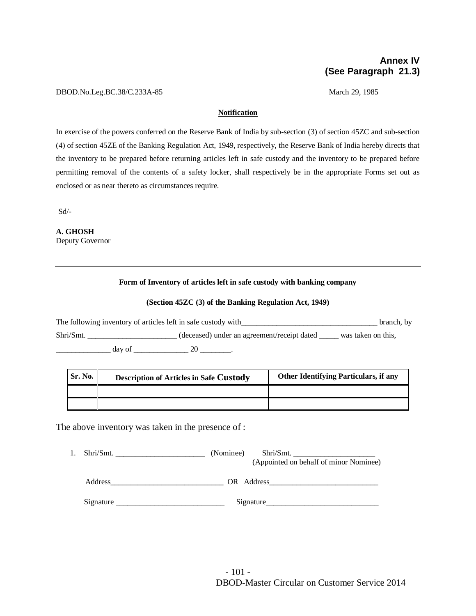# **Annex IV (See Paragraph 21.3)**

#### DBOD.No.Leg.BC.38/C.233A-85 March 29, 1985

### **Notification**

In exercise of the powers conferred on the Reserve Bank of India by sub-section (3) of section 45ZC and sub-section (4) of section 45ZE of the Banking Regulation Act, 1949, respectively, the Reserve Bank of India hereby directs that the inventory to be prepared before returning articles left in safe custody and the inventory to be prepared before permitting removal of the contents of a safety locker, shall respectively be in the appropriate Forms set out as enclosed or as near thereto as circumstances require.

Sd/-

**A. GHOSH** Deputy Governor

## **Form of Inventory of articles left in safe custody with banking company**

## **(Section 45ZC (3) of the Banking Regulation Act, 1949)**

The following inventory of articles left in safe custody with **Exercise 2008** branch, by Shri/Smt. \_\_\_\_\_\_\_\_\_\_\_\_\_\_\_\_\_\_\_\_(deceased) under an agreement/receipt dated \_\_\_\_\_ was taken on this,  $\frac{day \text{ of }_{200000000}}{20}$ 

| Sr. No. | <b>Description of Articles in Safe Custody</b> | <b>Other Identifying Particulars, if any</b> |
|---------|------------------------------------------------|----------------------------------------------|
|         |                                                |                                              |
|         |                                                |                                              |

The above inventory was taken in the presence of :

| $\text{Shri}/\text{Smt.}$ | (Nominee)<br>Shri/Smt.<br>(Appointed on behalf of minor Nominee)                                                                                                                                                               |
|---------------------------|--------------------------------------------------------------------------------------------------------------------------------------------------------------------------------------------------------------------------------|
| Address                   | OR Address and the same of the same of the same of the same of the same of the same of the same of the same of the same of the same of the same of the same of the same of the same of the same of the same of the same of the |
| Signature                 | Signature                                                                                                                                                                                                                      |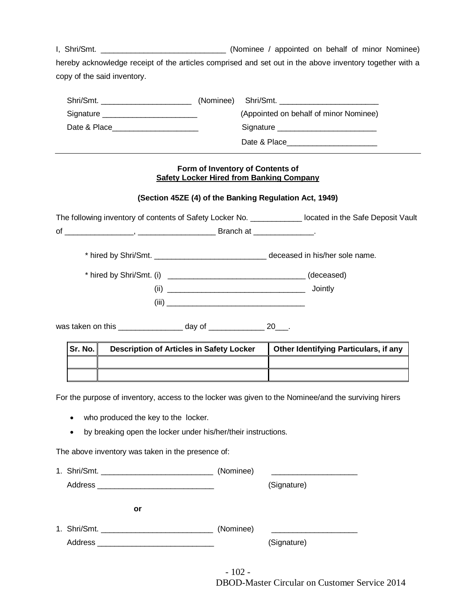I, Shri/Smt. \_\_\_\_\_\_\_\_\_\_\_\_\_\_\_\_\_\_\_\_\_\_\_\_\_\_\_\_\_\_\_\_\_\_\_ (Nominee / appointed on behalf of minor Nominee) hereby acknowledge receipt of the articles comprised and set out in the above inventory together with a copy of the said inventory.

|                                       | (Nominee) Shri/Smt.                                                                                            |
|---------------------------------------|----------------------------------------------------------------------------------------------------------------|
| Signature ___________________________ | (Appointed on behalf of minor Nominee)                                                                         |
| Date & Place <b>Example 20</b>        | Signature Signature Signature Communications and Signature Communications and Signature Communications and Sig |
|                                       | Date & Place                                                                                                   |

## **Form of Inventory of Contents of Safety Locker Hired from Banking Company**

# **(Section 45ZE (4) of the Banking Regulation Act, 1949)**

The following inventory of contents of Safety Locker No. \_\_\_\_\_\_\_\_\_\_\_\_ located in the Safe Deposit Vault of \_\_\_\_\_\_\_\_\_\_\_\_\_\_\_\_, \_\_\_\_\_\_\_\_\_\_\_\_\_\_\_\_\_\_ Branch at \_\_\_\_\_\_\_\_\_\_\_\_\_\_.

\* hired by Shri/Smt. \_\_\_\_\_\_\_\_\_\_\_\_\_\_\_\_\_\_\_\_\_\_\_\_\_\_ deceased in his/her sole name.

| * hired by Shri/Smt. (i) | (deceased) |
|--------------------------|------------|
| (ii)                     | Jointly    |
| (iii)                    |            |

was taken on this example of the day of the set of the 20  $\pm$ 

| Sr. No. I | <b>Description of Articles in Safety Locker</b> | <b>Other Identifying Particulars, if any</b> |
|-----------|-------------------------------------------------|----------------------------------------------|
|           |                                                 |                                              |
|           |                                                 |                                              |

For the purpose of inventory, access to the locker was given to the Nominee/and the surviving hirers

- who produced the key to the locker.
- by breaking open the locker under his/her/their instructions.

The above inventory was taken in the presence of:

|         | (Nominee) |             |  |
|---------|-----------|-------------|--|
|         |           | (Signature) |  |
| or      |           |             |  |
|         | (Nominee) |             |  |
| Address |           | (Signature) |  |

DBOD-Master Circular on Customer Service 2014 - 102 -